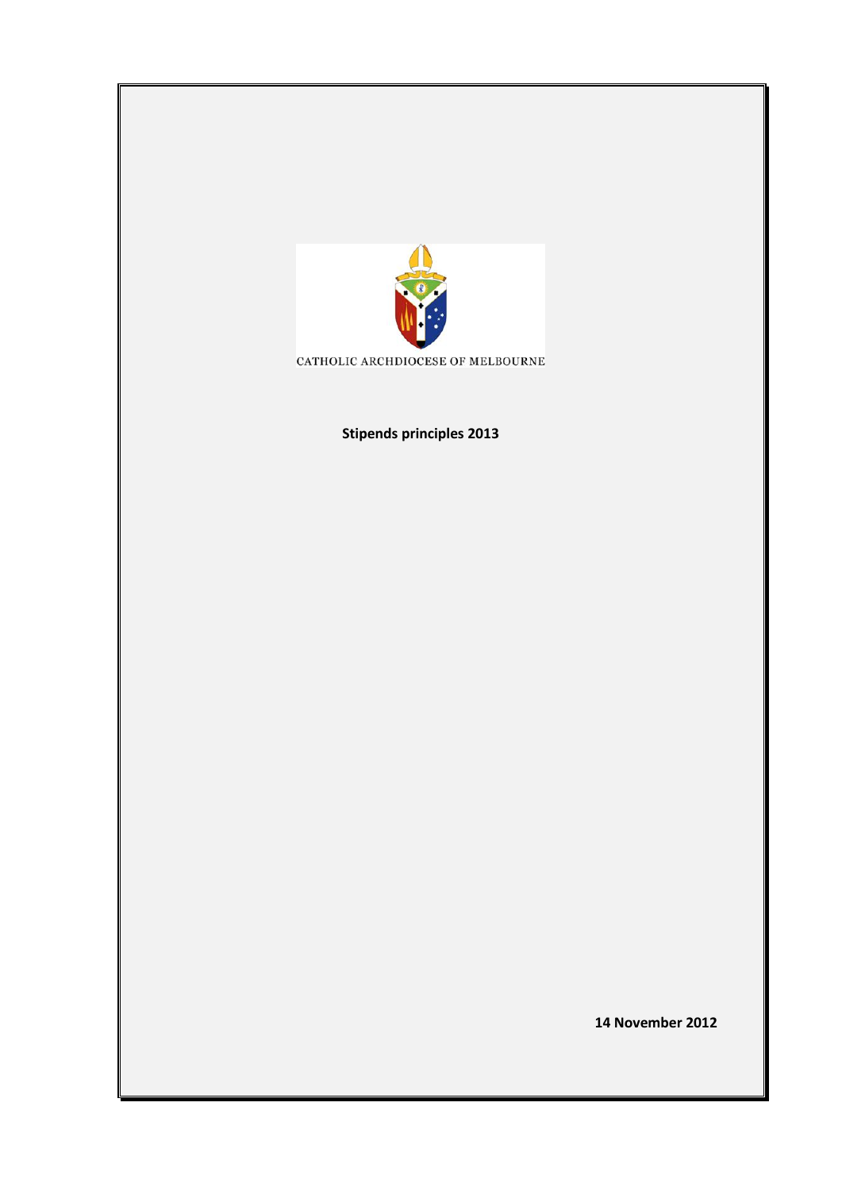